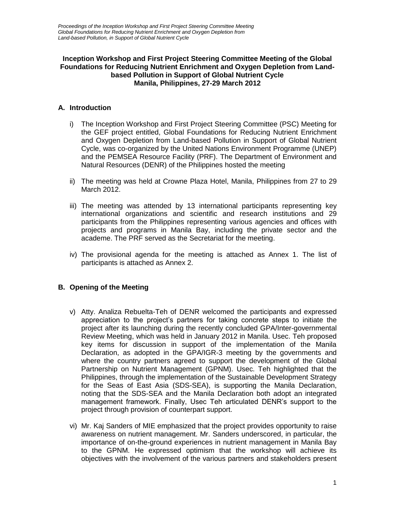### **Inception Workshop and First Project Steering Committee Meeting of the Global Foundations for Reducing Nutrient Enrichment and Oxygen Depletion from Landbased Pollution in Support of Global Nutrient Cycle Manila, Philippines, 27-29 March 2012**

## **A. Introduction**

- i) The Inception Workshop and First Project Steering Committee (PSC) Meeting for the GEF project entitled, Global Foundations for Reducing Nutrient Enrichment and Oxygen Depletion from Land-based Pollution in Support of Global Nutrient Cycle, was co-organized by the United Nations Environment Programme (UNEP) and the PEMSEA Resource Facility (PRF). The Department of Environment and Natural Resources (DENR) of the Philippines hosted the meeting
- ii) The meeting was held at Crowne Plaza Hotel, Manila, Philippines from 27 to 29 March 2012.
- iii) The meeting was attended by 13 international participants representing key international organizations and scientific and research institutions and 29 participants from the Philippines representing various agencies and offices with projects and programs in Manila Bay, including the private sector and the academe. The PRF served as the Secretariat for the meeting.
- iv) The provisional agenda for the meeting is attached as Annex 1. The list of participants is attached as Annex 2.

## **B. Opening of the Meeting**

- v) Atty. Analiza Rebuelta-Teh of DENR welcomed the participants and expressed appreciation to the project's partners for taking concrete steps to initiate the project after its launching during the recently concluded GPA/Inter-governmental Review Meeting, which was held in January 2012 in Manila. Usec. Teh proposed key items for discussion in support of the implementation of the Manila Declaration, as adopted in the GPA/IGR-3 meeting by the governments and where the country partners agreed to support the development of the Global Partnership on Nutrient Management (GPNM). Usec. Teh highlighted that the Philippines, through the implementation of the Sustainable Development Strategy for the Seas of East Asia (SDS-SEA), is supporting the Manila Declaration, noting that the SDS-SEA and the Manila Declaration both adopt an integrated management framework. Finally, Usec Teh articulated DENR's support to the project through provision of counterpart support.
- vi) Mr. Kaj Sanders of MIE emphasized that the project provides opportunity to raise awareness on nutrient management. Mr. Sanders underscored, in particular, the importance of on-the-ground experiences in nutrient management in Manila Bay to the GPNM. He expressed optimism that the workshop will achieve its objectives with the involvement of the various partners and stakeholders present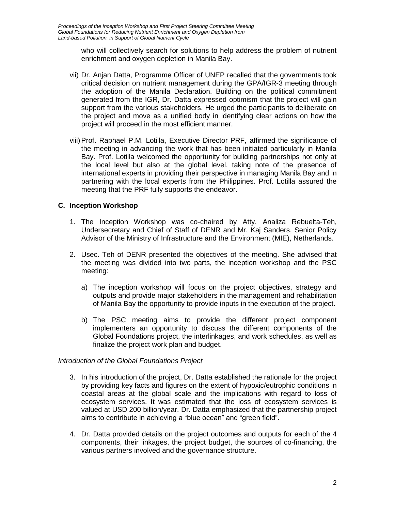who will collectively search for solutions to help address the problem of nutrient enrichment and oxygen depletion in Manila Bay.

- vii) Dr. Anjan Datta, Programme Officer of UNEP recalled that the governments took critical decision on nutrient management during the GPA/IGR-3 meeting through the adoption of the Manila Declaration. Building on the political commitment generated from the IGR, Dr. Datta expressed optimism that the project will gain support from the various stakeholders. He urged the participants to deliberate on the project and move as a unified body in identifying clear actions on how the project will proceed in the most efficient manner.
- viii)Prof. Raphael P.M. Lotilla, Executive Director PRF, affirmed the significance of the meeting in advancing the work that has been initiated particularly in Manila Bay. Prof. Lotilla welcomed the opportunity for building partnerships not only at the local level but also at the global level, taking note of the presence of international experts in providing their perspective in managing Manila Bay and in partnering with the local experts from the Philippines. Prof. Lotilla assured the meeting that the PRF fully supports the endeavor.

### **C. Inception Workshop**

- 1. The Inception Workshop was co-chaired by Atty. Analiza Rebuelta-Teh, Undersecretary and Chief of Staff of DENR and Mr. Kaj Sanders, Senior Policy Advisor of the Ministry of Infrastructure and the Environment (MIE), Netherlands.
- 2. Usec. Teh of DENR presented the objectives of the meeting. She advised that the meeting was divided into two parts, the inception workshop and the PSC meeting:
	- a) The inception workshop will focus on the project objectives, strategy and outputs and provide major stakeholders in the management and rehabilitation of Manila Bay the opportunity to provide inputs in the execution of the project.
	- b) The PSC meeting aims to provide the different project component implementers an opportunity to discuss the different components of the Global Foundations project, the interlinkages, and work schedules, as well as finalize the project work plan and budget.

#### *Introduction of the Global Foundations Project*

- 3. In his introduction of the project, Dr. Datta established the rationale for the project by providing key facts and figures on the extent of hypoxic/eutrophic conditions in coastal areas at the global scale and the implications with regard to loss of ecosystem services. It was estimated that the loss of ecosystem services is valued at USD 200 billion/year. Dr. Datta emphasized that the partnership project aims to contribute in achieving a "blue ocean" and "green field".
- 4. Dr. Datta provided details on the project outcomes and outputs for each of the 4 components, their linkages, the project budget, the sources of co-financing, the various partners involved and the governance structure.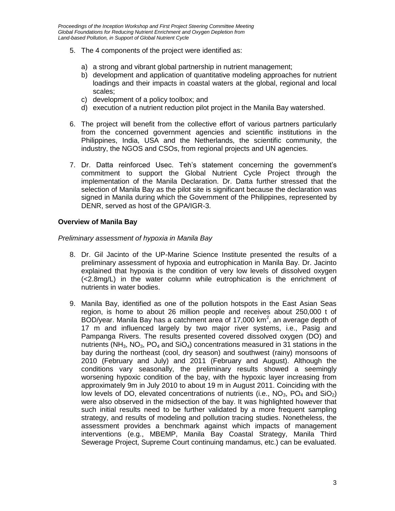- 5. The 4 components of the project were identified as:
	- a) a strong and vibrant global partnership in nutrient management;
	- b) development and application of quantitative modeling approaches for nutrient loadings and their impacts in coastal waters at the global, regional and local scales;
	- c) development of a policy toolbox; and
	- d) execution of a nutrient reduction pilot project in the Manila Bay watershed.
- 6. The project will benefit from the collective effort of various partners particularly from the concerned government agencies and scientific institutions in the Philippines, India, USA and the Netherlands, the scientific community, the industry, the NGOS and CSOs, from regional projects and UN agencies.
- 7. Dr. Datta reinforced Usec. Teh's statement concerning the government's commitment to support the Global Nutrient Cycle Project through the implementation of the Manila Declaration. Dr. Datta further stressed that the selection of Manila Bay as the pilot site is significant because the declaration was signed in Manila during which the Government of the Philippines, represented by DENR, served as host of the GPA/IGR-3.

### **Overview of Manila Bay**

*Preliminary assessment of hypoxia in Manila Bay*

- 8. Dr. Gil Jacinto of the UP-Marine Science Institute presented the results of a preliminary assessment of hypoxia and eutrophication in Manila Bay. Dr. Jacinto explained that hypoxia is the condition of very low levels of dissolved oxygen (<2.8mg/L) in the water column while eutrophication is the enrichment of nutrients in water bodies.
- 9. Manila Bay, identified as one of the pollution hotspots in the East Asian Seas region, is home to about 26 million people and receives about 250,000 t of BOD/year. Manila Bay has a catchment area of 17,000 km<sup>2</sup>, an average depth of 17 m and influenced largely by two major river systems, i.e., Pasig and Pampanga Rivers. The results presented covered dissolved oxygen (DO) and nutrients (NH<sub>3</sub>, NO<sub>3</sub>, PO<sub>4</sub> and SiO<sub>4</sub>) concentrations measured in 31 stations in the bay during the northeast (cool, dry season) and southwest (rainy) monsoons of 2010 (February and July) and 2011 (February and August). Although the conditions vary seasonally, the preliminary results showed a seemingly worsening hypoxic condition of the bay, with the hypoxic layer increasing from approximately 9m in July 2010 to about 19 m in August 2011. Coinciding with the low levels of DO, elevated concentrations of nutrients (i.e.,  $NO<sub>3</sub>$ ,  $PO<sub>4</sub>$  and  $SiO<sub>2</sub>$ ) were also observed in the midsection of the bay. It was highlighted however that such initial results need to be further validated by a more frequent sampling strategy, and results of modeling and pollution tracing studies. Nonetheless, the assessment provides a benchmark against which impacts of management interventions (e.g., MBEMP, Manila Bay Coastal Strategy, Manila Third Sewerage Project, Supreme Court continuing mandamus, etc.) can be evaluated.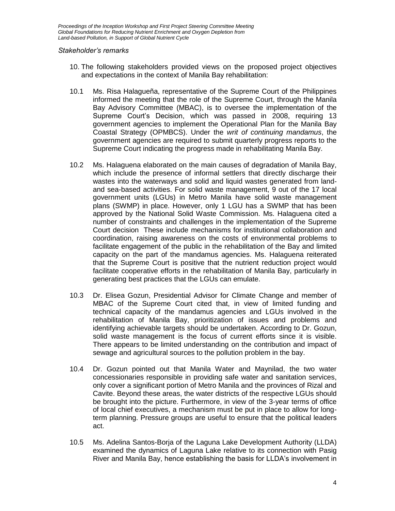#### *Stakeholder's remarks*

- 10. The following stakeholders provided views on the proposed project objectives and expectations in the context of Manila Bay rehabilitation:
- 10.1 Ms. Risa Halagueña, representative of the Supreme Court of the Philippines informed the meeting that the role of the Supreme Court, through the Manila Bay Advisory Committee (MBAC), is to oversee the implementation of the Supreme Court's Decision, which was passed in 2008, requiring 13 government agencies to implement the Operational Plan for the Manila Bay Coastal Strategy (OPMBCS). Under the *writ of continuing mandamus*, the government agencies are required to submit quarterly progress reports to the Supreme Court indicating the progress made in rehabilitating Manila Bay.
- 10.2 Ms. Halaguena elaborated on the main causes of degradation of Manila Bay, which include the presence of informal settlers that directly discharge their wastes into the waterways and solid and liquid wastes generated from landand sea-based activities. For solid waste management, 9 out of the 17 local government units (LGUs) in Metro Manila have solid waste management plans (SWMP) in place. However, only 1 LGU has a SWMP that has been approved by the National Solid Waste Commission. Ms. Halaguena cited a number of constraints and challenges in the implementation of the Supreme Court decision These include mechanisms for institutional collaboration and coordination, raising awareness on the costs of environmental problems to facilitate engagement of the public in the rehabilitation of the Bay and limited capacity on the part of the mandamus agencies. Ms. Halaguena reiterated that the Supreme Court is positive that the nutrient reduction project would facilitate cooperative efforts in the rehabilitation of Manila Bay, particularly in generating best practices that the LGUs can emulate.
- 10.3 Dr. Elisea Gozun, Presidential Advisor for Climate Change and member of MBAC of the Supreme Court cited that, in view of limited funding and technical capacity of the mandamus agencies and LGUs involved in the rehabilitation of Manila Bay, prioritization of issues and problems and identifying achievable targets should be undertaken. According to Dr. Gozun, solid waste management is the focus of current efforts since it is visible. There appears to be limited understanding on the contribution and impact of sewage and agricultural sources to the pollution problem in the bay.
- 10.4 Dr. Gozun pointed out that Manila Water and Maynilad, the two water concessionaries responsible in providing safe water and sanitation services, only cover a significant portion of Metro Manila and the provinces of Rizal and Cavite. Beyond these areas, the water districts of the respective LGUs should be brought into the picture. Furthermore, in view of the 3-year terms of office of local chief executives, a mechanism must be put in place to allow for longterm planning. Pressure groups are useful to ensure that the political leaders act.
- 10.5 Ms. Adelina Santos-Borja of the Laguna Lake Development Authority (LLDA) examined the dynamics of Laguna Lake relative to its connection with Pasig River and Manila Bay, hence establishing the basis for LLDA's involvement in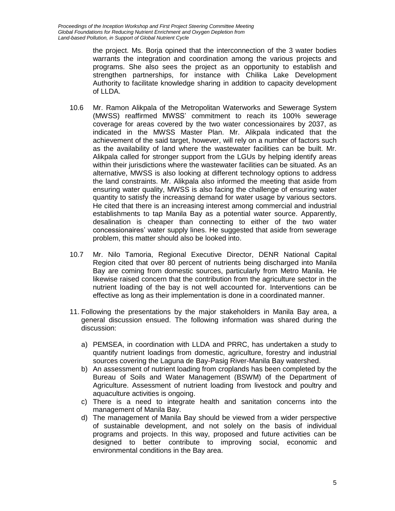the project. Ms. Borja opined that the interconnection of the 3 water bodies warrants the integration and coordination among the various projects and programs. She also sees the project as an opportunity to establish and strengthen partnerships, for instance with Chilika Lake Development Authority to facilitate knowledge sharing in addition to capacity development of LLDA.

- 10.6 Mr. Ramon Alikpala of the Metropolitan Waterworks and Sewerage System (MWSS) reaffirmed MWSS' commitment to reach its 100% sewerage coverage for areas covered by the two water concessionaires by 2037, as indicated in the MWSS Master Plan. Mr. Alikpala indicated that the achievement of the said target, however, will rely on a number of factors such as the availability of land where the wastewater facilities can be built. Mr. Alikpala called for stronger support from the LGUs by helping identify areas within their jurisdictions where the wastewater facilities can be situated. As an alternative, MWSS is also looking at different technology options to address the land constraints. Mr. Alikpala also informed the meeting that aside from ensuring water quality, MWSS is also facing the challenge of ensuring water quantity to satisfy the increasing demand for water usage by various sectors. He cited that there is an increasing interest among commercial and industrial establishments to tap Manila Bay as a potential water source. Apparently, desalination is cheaper than connecting to either of the two water concessionaires' water supply lines. He suggested that aside from sewerage problem, this matter should also be looked into.
- 10.7 Mr. Nilo Tamoria, Regional Executive Director, DENR National Capital Region cited that over 80 percent of nutrients being discharged into Manila Bay are coming from domestic sources, particularly from Metro Manila. He likewise raised concern that the contribution from the agriculture sector in the nutrient loading of the bay is not well accounted for. Interventions can be effective as long as their implementation is done in a coordinated manner.
- 11. Following the presentations by the major stakeholders in Manila Bay area, a general discussion ensued. The following information was shared during the discussion:
	- a) PEMSEA, in coordination with LLDA and PRRC, has undertaken a study to quantify nutrient loadings from domestic, agriculture, forestry and industrial sources covering the Laguna de Bay-Pasig River-Manila Bay watershed.
	- b) An assessment of nutrient loading from croplands has been completed by the Bureau of Soils and Water Management (BSWM) of the Department of Agriculture. Assessment of nutrient loading from livestock and poultry and aquaculture activities is ongoing.
	- c) There is a need to integrate health and sanitation concerns into the management of Manila Bay.
	- d) The management of Manila Bay should be viewed from a wider perspective of sustainable development, and not solely on the basis of individual programs and projects. In this way, proposed and future activities can be designed to better contribute to improving social, economic and environmental conditions in the Bay area.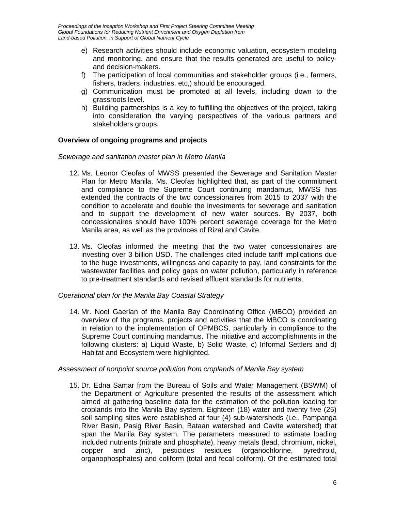- e) Research activities should include economic valuation, ecosystem modeling and monitoring, and ensure that the results generated are useful to policyand decision-makers.
- f) The participation of local communities and stakeholder groups (i.e., farmers, fishers, traders, industries, etc,) should be encouraged.
- g) Communication must be promoted at all levels, including down to the grassroots level.
- h) Building partnerships is a key to fulfilling the objectives of the project, taking into consideration the varying perspectives of the various partners and stakeholders groups.

#### **Overview of ongoing programs and projects**

#### *Sewerage and sanitation master plan in Metro Manila*

- 12. Ms. Leonor Cleofas of MWSS presented the Sewerage and Sanitation Master Plan for Metro Manila. Ms. Cleofas highlighted that, as part of the commitment and compliance to the Supreme Court continuing mandamus, MWSS has extended the contracts of the two concessionaires from 2015 to 2037 with the condition to accelerate and double the investments for sewerage and sanitation and to support the development of new water sources. By 2037, both concessionaires should have 100% percent sewerage coverage for the Metro Manila area, as well as the provinces of Rizal and Cavite.
- 13. Ms. Cleofas informed the meeting that the two water concessionaires are investing over 3 billion USD. The challenges cited include tariff implications due to the huge investments, willingness and capacity to pay, land constraints for the wastewater facilities and policy gaps on water pollution, particularly in reference to pre-treatment standards and revised effluent standards for nutrients.

#### *Operational plan for the Manila Bay Coastal Strategy*

14. Mr. Noel Gaerlan of the Manila Bay Coordinating Office (MBCO) provided an overview of the programs, projects and activities that the MBCO is coordinating in relation to the implementation of OPMBCS, particularly in compliance to the Supreme Court continuing mandamus. The initiative and accomplishments in the following clusters: a) Liquid Waste, b) Solid Waste, c) Informal Settlers and d) Habitat and Ecosystem were highlighted.

#### *Assessment of nonpoint source pollution from croplands of Manila Bay system*

15. Dr. Edna Samar from the Bureau of Soils and Water Management (BSWM) of the Department of Agriculture presented the results of the assessment which aimed at gathering baseline data for the estimation of the pollution loading for croplands into the Manila Bay system. Eighteen (18) water and twenty five (25) soil sampling sites were established at four (4) sub-watersheds (i.e., Pampanga River Basin, Pasig River Basin, Bataan watershed and Cavite watershed) that span the Manila Bay system. The parameters measured to estimate loading included nutrients (nitrate and phosphate), heavy metals (lead, chromium, nickel, copper and zinc), pesticides residues (organochlorine, pyrethroid, organophosphates) and coliform (total and fecal coliform). Of the estimated total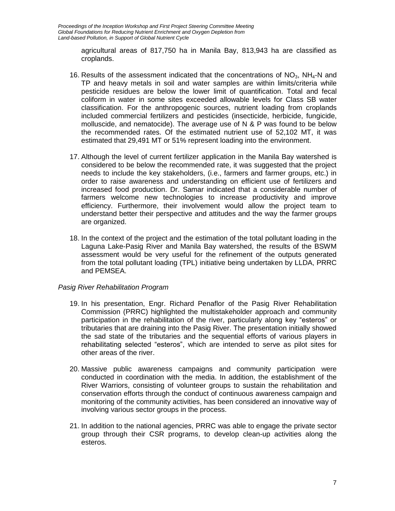agricultural areas of 817,750 ha in Manila Bay, 813,943 ha are classified as croplands.

- 16. Results of the assessment indicated that the concentrations of  $NO<sub>3</sub>$ , NH<sub>4</sub>-N and TP and heavy metals in soil and water samples are within limits/criteria while pesticide residues are below the lower limit of quantification. Total and fecal coliform in water in some sites exceeded allowable levels for Class SB water classification. For the anthropogenic sources, nutrient loading from croplands included commercial fertilizers and pesticides (insecticide, herbicide, fungicide, molluscide, and nematocide). The average use of  $N & P$  was found to be below the recommended rates. Of the estimated nutrient use of 52,102 MT, it was estimated that 29,491 MT or 51% represent loading into the environment.
- 17. Although the level of current fertilizer application in the Manila Bay watershed is considered to be below the recommended rate, it was suggested that the project needs to include the key stakeholders, (i.e., farmers and farmer groups, etc.) in order to raise awareness and understanding on efficient use of fertilizers and increased food production. Dr. Samar indicated that a considerable number of farmers welcome new technologies to increase productivity and improve efficiency. Furthermore, their involvement would allow the project team to understand better their perspective and attitudes and the way the farmer groups are organized.
- 18. In the context of the project and the estimation of the total pollutant loading in the Laguna Lake-Pasig River and Manila Bay watershed, the results of the BSWM assessment would be very useful for the refinement of the outputs generated from the total pollutant loading (TPL) initiative being undertaken by LLDA, PRRC and PEMSEA.

### *Pasig River Rehabilitation Program*

- 19. In his presentation, Engr. Richard Penaflor of the Pasig River Rehabilitation Commission (PRRC) highlighted the multistakeholder approach and community participation in the rehabilitation of the river, particularly along key "esteros" or tributaries that are draining into the Pasig River. The presentation initially showed the sad state of the tributaries and the sequential efforts of various players in rehabilitating selected "esteros", which are intended to serve as pilot sites for other areas of the river.
- 20. Massive public awareness campaigns and community participation were conducted in coordination with the media. In addition, the establishment of the River Warriors, consisting of volunteer groups to sustain the rehabilitation and conservation efforts through the conduct of continuous awareness campaign and monitoring of the community activities, has been considered an innovative way of involving various sector groups in the process.
- 21. In addition to the national agencies, PRRC was able to engage the private sector group through their CSR programs, to develop clean-up activities along the esteros.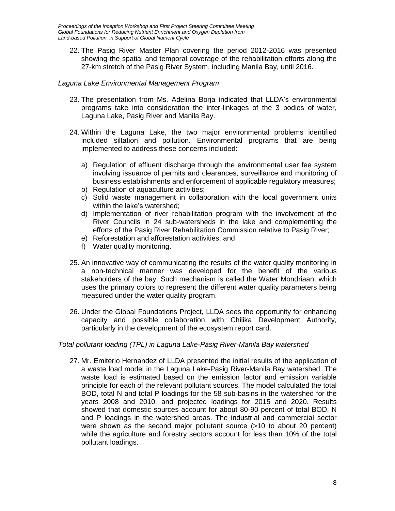22. The Pasig River Master Plan covering the period 2012-2016 was presented showing the spatial and temporal coverage of the rehabilitation efforts along the 27-km stretch of the Pasig River System, including Manila Bay, until 2016.

### *Laguna Lake Environmental Management Program*

- 23. The presentation from Ms. Adelina Borja indicated that LLDA's environmental programs take into consideration the inter-linkages of the 3 bodies of water, Laguna Lake, Pasig River and Manila Bay.
- 24. Within the Laguna Lake, the two major environmental problems identified included siltation and pollution. Environmental programs that are being implemented to address these concerns included:
	- a) Regulation of effluent discharge through the environmental user fee system involving issuance of permits and clearances, surveillance and monitoring of business establishments and enforcement of applicable regulatory measures;
	- b) Regulation of aquaculture activities;
	- c) Solid waste management in collaboration with the local government units within the lake's watershed;
	- d) Implementation of river rehabilitation program with the involvement of the River Councils in 24 sub-watersheds in the lake and complementing the efforts of the Pasig River Rehabilitation Commission relative to Pasig River;
	- e) Reforestation and afforestation activities; and
	- f) Water quality monitoring.
- 25. An innovative way of communicating the results of the water quality monitoring in a non-technical manner was developed for the benefit of the various stakeholders of the bay. Such mechanism is called the Water Mondriaan, which uses the primary colors to represent the different water quality parameters being measured under the water quality program.
- 26. Under the Global Foundations Project, LLDA sees the opportunity for enhancing capacity and possible collaboration with Chilika Development Authority, particularly in the development of the ecosystem report card.

### *Total pollutant loading (TPL) in Laguna Lake-Pasig River-Manila Bay watershed*

27. Mr. Emiterio Hernandez of LLDA presented the initial results of the application of a waste load model in the Laguna Lake-Pasig River-Manila Bay watershed. The waste load is estimated based on the emission factor and emission variable principle for each of the relevant pollutant sources. The model calculated the total BOD, total N and total P loadings for the 58 sub-basins in the watershed for the years 2008 and 2010, and projected loadings for 2015 and 2020. Results showed that domestic sources account for about 80-90 percent of total BOD, N and P loadings in the watershed areas. The industrial and commercial sector were shown as the second major pollutant source (>10 to about 20 percent) while the agriculture and forestry sectors account for less than 10% of the total pollutant loadings.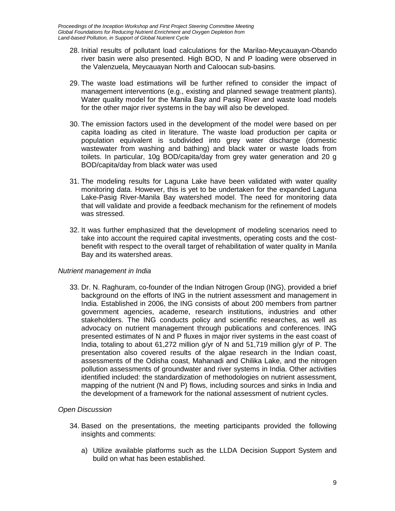- 28. Initial results of pollutant load calculations for the Marilao-Meycauayan-Obando river basin were also presented. High BOD, N and P loading were observed in the Valenzuela, Meycauayan North and Caloocan sub-basins.
- 29. The waste load estimations will be further refined to consider the impact of management interventions (e.g., existing and planned sewage treatment plants). Water quality model for the Manila Bay and Pasig River and waste load models for the other major river systems in the bay will also be developed.
- 30. The emission factors used in the development of the model were based on per capita loading as cited in literature. The waste load production per capita or population equivalent is subdivided into grey water discharge (domestic wastewater from washing and bathing) and black water or waste loads from toilets. In particular, 10g BOD/capita/day from grey water generation and 20 g BOD/capita/day from black water was used
- 31. The modeling results for Laguna Lake have been validated with water quality monitoring data. However, this is yet to be undertaken for the expanded Laguna Lake-Pasig River-Manila Bay watershed model. The need for monitoring data that will validate and provide a feedback mechanism for the refinement of models was stressed.
- 32. It was further emphasized that the development of modeling scenarios need to take into account the required capital investments, operating costs and the costbenefit with respect to the overall target of rehabilitation of water quality in Manila Bay and its watershed areas.

### *Nutrient management in India*

33. Dr. N. Raghuram, co-founder of the Indian Nitrogen Group (ING), provided a brief background on the efforts of ING in the nutrient assessment and management in India. Established in 2006, the ING consists of about 200 members from partner government agencies, academe, research institutions, industries and other stakeholders. The ING conducts policy and scientific researches, as well as advocacy on nutrient management through publications and conferences. ING presented estimates of N and P fluxes in major river systems in the east coast of India, totaling to about 61,272 million g/yr of N and 51,719 million g/yr of P. The presentation also covered results of the algae research in the Indian coast, assessments of the Odisha coast, Mahanadi and Chilika Lake, and the nitrogen pollution assessments of groundwater and river systems in India. Other activities identified included: the standardization of methodologies on nutrient assessment, mapping of the nutrient (N and P) flows, including sources and sinks in India and the development of a framework for the national assessment of nutrient cycles.

### *Open Discussion*

- 34. Based on the presentations, the meeting participants provided the following insights and comments:
	- a) Utilize available platforms such as the LLDA Decision Support System and build on what has been established.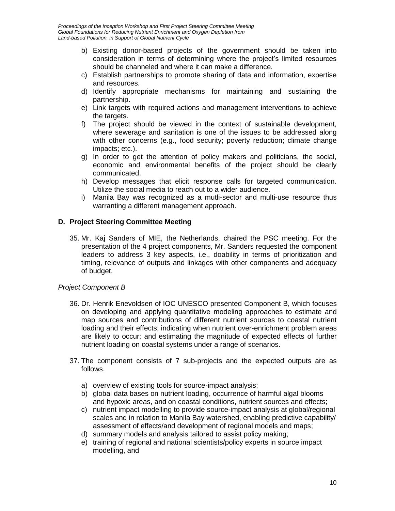- b) Existing donor-based projects of the government should be taken into consideration in terms of determining where the project's limited resources should be channeled and where it can make a difference.
- c) Establish partnerships to promote sharing of data and information, expertise and resources.
- d) Identify appropriate mechanisms for maintaining and sustaining the partnership.
- e) Link targets with required actions and management interventions to achieve the targets.
- f) The project should be viewed in the context of sustainable development, where sewerage and sanitation is one of the issues to be addressed along with other concerns (e.g., food security; poverty reduction; climate change impacts; etc.).
- g) In order to get the attention of policy makers and politicians, the social, economic and environmental benefits of the project should be clearly communicated.
- h) Develop messages that elicit response calls for targeted communication. Utilize the social media to reach out to a wider audience.
- i) Manila Bay was recognized as a mutli-sector and multi-use resource thus warranting a different management approach.

## **D. Project Steering Committee Meeting**

35. Mr. Kaj Sanders of MIE, the Netherlands, chaired the PSC meeting. For the presentation of the 4 project components, Mr. Sanders requested the component leaders to address 3 key aspects, i.e., doability in terms of prioritization and timing, relevance of outputs and linkages with other components and adequacy of budget.

### *Project Component B*

- 36. Dr. Henrik Enevoldsen of IOC UNESCO presented Component B, which focuses on developing and applying quantitative modeling approaches to estimate and map sources and contributions of different nutrient sources to coastal nutrient loading and their effects; indicating when nutrient over-enrichment problem areas are likely to occur; and estimating the magnitude of expected effects of further nutrient loading on coastal systems under a range of scenarios.
- 37. The component consists of 7 sub-projects and the expected outputs are as follows.
	- a) overview of existing tools for source-impact analysis;
	- b) global data bases on nutrient loading, occurrence of harmful algal blooms and hypoxic areas, and on coastal conditions, nutrient sources and effects;
	- c) nutrient impact modelling to provide source-impact analysis at global/regional scales and in relation to Manila Bay watershed, enabling predictive capability/ assessment of effects/and development of regional models and maps;
	- d) summary models and analysis tailored to assist policy making;
	- e) training of regional and national scientists/policy experts in source impact modelling, and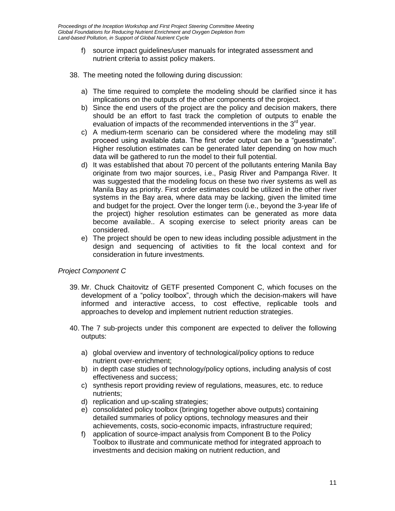- f) source impact guidelines/user manuals for integrated assessment and nutrient criteria to assist policy makers.
- 38. The meeting noted the following during discussion:
	- a) The time required to complete the modeling should be clarified since it has implications on the outputs of the other components of the project.
	- b) Since the end users of the project are the policy and decision makers, there should be an effort to fast track the completion of outputs to enable the evaluation of impacts of the recommended interventions in the  $3<sup>rd</sup>$  year.
	- c) A medium-term scenario can be considered where the modeling may still proceed using available data. The first order output can be a "guesstimate". Higher resolution estimates can be generated later depending on how much data will be gathered to run the model to their full potential.
	- d) It was established that about 70 percent of the pollutants entering Manila Bay originate from two major sources, i.e., Pasig River and Pampanga River. It was suggested that the modeling focus on these two river systems as well as Manila Bay as priority. First order estimates could be utilized in the other river systems in the Bay area, where data may be lacking, given the limited time and budget for the project. Over the longer term (i.e., beyond the 3-year life of the project) higher resolution estimates can be generated as more data become available.. A scoping exercise to select priority areas can be considered.
	- e) The project should be open to new ideas including possible adjustment in the design and sequencing of activities to fit the local context and for consideration in future investments.

### *Project Component C*

- 39. Mr. Chuck Chaitovitz of GETF presented Component C, which focuses on the development of a "policy toolbox", through which the decision-makers will have informed and interactive access, to cost effective, replicable tools and approaches to develop and implement nutrient reduction strategies.
- 40. The 7 sub-projects under this component are expected to deliver the following outputs:
	- a) global overview and inventory of technological/policy options to reduce nutrient over-enrichment;
	- b) in depth case studies of technology/policy options, including analysis of cost effectiveness and success;
	- c) synthesis report providing review of regulations, measures, etc. to reduce nutrients;
	- d) replication and up-scaling strategies;
	- e) consolidated policy toolbox (bringing together above outputs) containing detailed summaries of policy options, technology measures and their achievements, costs, socio-economic impacts, infrastructure required;
	- f) application of source-impact analysis from Component B to the Policy Toolbox to illustrate and communicate method for integrated approach to investments and decision making on nutrient reduction, and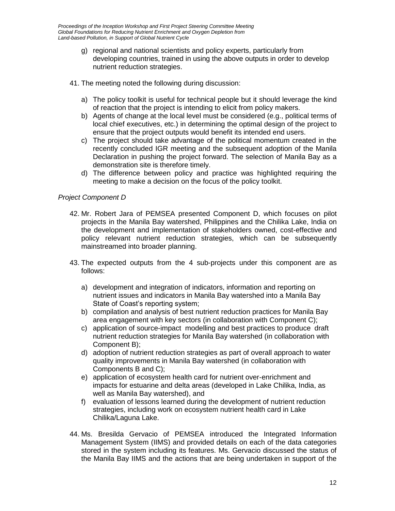- g) regional and national scientists and policy experts, particularly from developing countries, trained in using the above outputs in order to develop nutrient reduction strategies.
- 41. The meeting noted the following during discussion:
	- a) The policy toolkit is useful for technical people but it should leverage the kind of reaction that the project is intending to elicit from policy makers.
	- b) Agents of change at the local level must be considered (e.g., political terms of local chief executives, etc.) in determining the optimal design of the project to ensure that the project outputs would benefit its intended end users.
	- c) The project should take advantage of the political momentum created in the recently concluded IGR meeting and the subsequent adoption of the Manila Declaration in pushing the project forward. The selection of Manila Bay as a demonstration site is therefore timely.
	- d) The difference between policy and practice was highlighted requiring the meeting to make a decision on the focus of the policy toolkit.

## *Project Component D*

- 42. Mr. Robert Jara of PEMSEA presented Component D, which focuses on pilot projects in the Manila Bay watershed, Philippines and the Chilika Lake, India on the development and implementation of stakeholders owned, cost-effective and policy relevant nutrient reduction strategies, which can be subsequently mainstreamed into broader planning.
- 43. The expected outputs from the 4 sub-projects under this component are as follows:
	- a) development and integration of indicators, information and reporting on nutrient issues and indicators in Manila Bay watershed into a Manila Bay State of Coast's reporting system;
	- b) compilation and analysis of best nutrient reduction practices for Manila Bay area engagement with key sectors (in collaboration with Component C);
	- c) application of source-impact modelling and best practices to produce draft nutrient reduction strategies for Manila Bay watershed (in collaboration with Component B);
	- d) adoption of nutrient reduction strategies as part of overall approach to water quality improvements in Manila Bay watershed (in collaboration with Components B and C);
	- e) application of ecosystem health card for nutrient over-enrichment and impacts for estuarine and delta areas (developed in Lake Chilika, India, as well as Manila Bay watershed), and
	- f) evaluation of lessons learned during the development of nutrient reduction strategies, including work on ecosystem nutrient health card in Lake Chilika/Laguna Lake.
- 44. Ms. Bresilda Gervacio of PEMSEA introduced the Integrated Information Management System (IIMS) and provided details on each of the data categories stored in the system including its features. Ms. Gervacio discussed the status of the Manila Bay IIMS and the actions that are being undertaken in support of the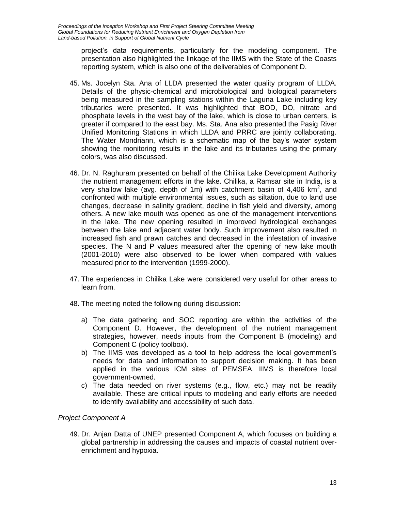project's data requirements, particularly for the modeling component. The presentation also highlighted the linkage of the IIMS with the State of the Coasts reporting system, which is also one of the deliverables of Component D.

- 45. Ms. Jocelyn Sta. Ana of LLDA presented the water quality program of LLDA. Details of the physic-chemical and microbiological and biological parameters being measured in the sampling stations within the Laguna Lake including key tributaries were presented. It was highlighted that BOD, DO, nitrate and phosphate levels in the west bay of the lake, which is close to urban centers, is greater if compared to the east bay. Ms. Sta. Ana also presented the Pasig River Unified Monitoring Stations in which LLDA and PRRC are jointly collaborating. The Water Mondriann, which is a schematic map of the bay's water system showing the monitoring results in the lake and its tributaries using the primary colors, was also discussed.
- 46. Dr. N. Raghuram presented on behalf of the Chilika Lake Development Authority the nutrient management efforts in the lake. Chilika, a Ramsar site in India, is a very shallow lake (avg. depth of 1m) with catchment basin of 4,406 km<sup>2</sup>, and confronted with multiple environmental issues, such as siltation, due to land use changes, decrease in salinity gradient, decline in fish yield and diversity, among others. A new lake mouth was opened as one of the management interventions in the lake. The new opening resulted in improved hydrological exchanges between the lake and adjacent water body. Such improvement also resulted in increased fish and prawn catches and decreased in the infestation of invasive species. The N and P values measured after the opening of new lake mouth (2001-2010) were also observed to be lower when compared with values measured prior to the intervention (1999-2000).
- 47. The experiences in Chilika Lake were considered very useful for other areas to learn from.
- 48. The meeting noted the following during discussion:
	- a) The data gathering and SOC reporting are within the activities of the Component D. However, the development of the nutrient management strategies, however, needs inputs from the Component B (modeling) and Component C (policy toolbox).
	- b) The IIMS was developed as a tool to help address the local government's needs for data and information to support decision making. It has been applied in the various ICM sites of PEMSEA. IIMS is therefore local government-owned.
	- c) The data needed on river systems (e.g., flow, etc.) may not be readily available. These are critical inputs to modeling and early efforts are needed to identify availability and accessibility of such data.

### *Project Component A*

49. Dr. Anjan Datta of UNEP presented Component A, which focuses on building a global partnership in addressing the causes and impacts of coastal nutrient overenrichment and hypoxia.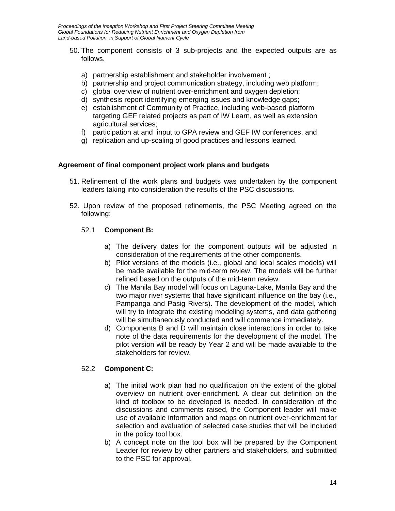- 50. The component consists of 3 sub-projects and the expected outputs are as follows.
	- a) partnership establishment and stakeholder involvement ;
	- b) partnership and project communication strategy, including web platform;
	- c) global overview of nutrient over-enrichment and oxygen depletion;
	- d) synthesis report identifying emerging issues and knowledge gaps;
	- e) establishment of Community of Practice, including web-based platform targeting GEF related projects as part of IW Learn, as well as extension agricultural services;
	- f) participation at and input to GPA review and GEF IW conferences, and
	- g) replication and up-scaling of good practices and lessons learned.

#### **Agreement of final component project work plans and budgets**

- 51. Refinement of the work plans and budgets was undertaken by the component leaders taking into consideration the results of the PSC discussions.
- 52. Upon review of the proposed refinements, the PSC Meeting agreed on the following:

### 52.1 **Component B:**

- a) The delivery dates for the component outputs will be adjusted in consideration of the requirements of the other components.
- b) Pilot versions of the models (i.e., global and local scales models) will be made available for the mid-term review. The models will be further refined based on the outputs of the mid-term review.
- c) The Manila Bay model will focus on Laguna-Lake, Manila Bay and the two major river systems that have significant influence on the bay (i.e., Pampanga and Pasig Rivers). The development of the model, which will try to integrate the existing modeling systems, and data gathering will be simultaneously conducted and will commence immediately.
- d) Components B and D will maintain close interactions in order to take note of the data requirements for the development of the model. The pilot version will be ready by Year 2 and will be made available to the stakeholders for review.

### 52.2 **Component C:**

- a) The initial work plan had no qualification on the extent of the global overview on nutrient over-enrichment. A clear cut definition on the kind of toolbox to be developed is needed. In consideration of the discussions and comments raised, the Component leader will make use of available information and maps on nutrient over-enrichment for selection and evaluation of selected case studies that will be included in the policy tool box.
- b) A concept note on the tool box will be prepared by the Component Leader for review by other partners and stakeholders, and submitted to the PSC for approval.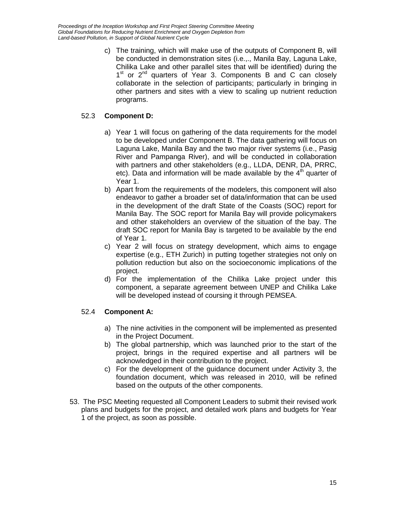> c) The training, which will make use of the outputs of Component B, will be conducted in demonstration sites (i.e.,., Manila Bay, Laguna Lake, Chilika Lake and other parallel sites that will be identified) during the 1<sup>st</sup> or 2<sup>nd</sup> quarters of Year 3. Components B and C can closely collaborate in the selection of participants; particularly in bringing in other partners and sites with a view to scaling up nutrient reduction programs.

## 52.3 **Component D:**

- a) Year 1 will focus on gathering of the data requirements for the model to be developed under Component B. The data gathering will focus on Laguna Lake, Manila Bay and the two major river systems (i.e., Pasig River and Pampanga River), and will be conducted in collaboration with partners and other stakeholders (e.g., LLDA, DENR, DA, PRRC, etc). Data and information will be made available by the  $4<sup>th</sup>$  quarter of Year 1.
- b) Apart from the requirements of the modelers, this component will also endeavor to gather a broader set of data/information that can be used in the development of the draft State of the Coasts (SOC) report for Manila Bay. The SOC report for Manila Bay will provide policymakers and other stakeholders an overview of the situation of the bay. The draft SOC report for Manila Bay is targeted to be available by the end of Year 1.
- c) Year 2 will focus on strategy development, which aims to engage expertise (e.g., ETH Zurich) in putting together strategies not only on pollution reduction but also on the socioeconomic implications of the project.
- d) For the implementation of the Chilika Lake project under this component, a separate agreement between UNEP and Chilika Lake will be developed instead of coursing it through PEMSEA.

### 52.4 **Component A:**

- a) The nine activities in the component will be implemented as presented in the Project Document.
- b) The global partnership, which was launched prior to the start of the project, brings in the required expertise and all partners will be acknowledged in their contribution to the project.
- c) For the development of the guidance document under Activity 3, the foundation document, which was released in 2010, will be refined based on the outputs of the other components.
- 53. The PSC Meeting requested all Component Leaders to submit their revised work plans and budgets for the project, and detailed work plans and budgets for Year 1 of the project, as soon as possible.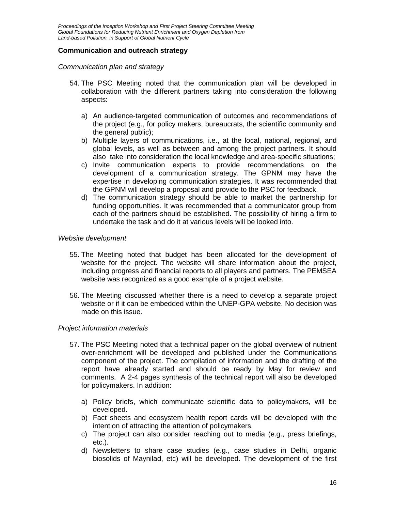#### **Communication and outreach strategy**

#### *Communication plan and strategy*

- 54. The PSC Meeting noted that the communication plan will be developed in collaboration with the different partners taking into consideration the following aspects:
	- a) An audience-targeted communication of outcomes and recommendations of the project (e.g., for policy makers, bureaucrats, the scientific community and the general public);
	- b) Multiple layers of communications, i.e., at the local, national, regional, and global levels, as well as between and among the project partners. It should also take into consideration the local knowledge and area-specific situations;
	- c) Invite communication experts to provide recommendations on the development of a communication strategy. The GPNM may have the expertise in developing communication strategies. It was recommended that the GPNM will develop a proposal and provide to the PSC for feedback.
	- d) The communication strategy should be able to market the partnership for funding opportunities. It was recommended that a communicator group from each of the partners should be established. The possibility of hiring a firm to undertake the task and do it at various levels will be looked into.

#### *Website development*

- 55. The Meeting noted that budget has been allocated for the development of website for the project. The website will share information about the project, including progress and financial reports to all players and partners. The PEMSEA website was recognized as a good example of a project website.
- 56. The Meeting discussed whether there is a need to develop a separate project website or if it can be embedded within the UNEP-GPA website. No decision was made on this issue.

#### *Project information materials*

- 57. The PSC Meeting noted that a technical paper on the global overview of nutrient over-enrichment will be developed and published under the Communications component of the project. The compilation of information and the drafting of the report have already started and should be ready by May for review and comments. A 2-4 pages synthesis of the technical report will also be developed for policymakers. In addition:
	- a) Policy briefs, which communicate scientific data to policymakers, will be developed.
	- b) Fact sheets and ecosystem health report cards will be developed with the intention of attracting the attention of policymakers.
	- c) The project can also consider reaching out to media (e.g., press briefings, etc.).
	- d) Newsletters to share case studies (e.g., case studies in Delhi, organic biosolids of Maynilad, etc) will be developed. The development of the first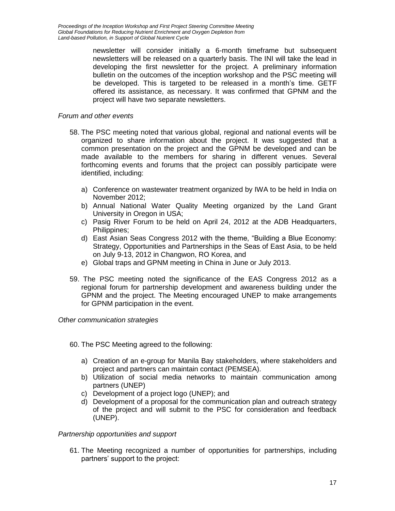> newsletter will consider initially a 6-month timeframe but subsequent newsletters will be released on a quarterly basis. The INI will take the lead in developing the first newsletter for the project. A preliminary information bulletin on the outcomes of the inception workshop and the PSC meeting will be developed. This is targeted to be released in a month's time. GETF offered its assistance, as necessary. It was confirmed that GPNM and the project will have two separate newsletters.

### *Forum and other events*

- 58. The PSC meeting noted that various global, regional and national events will be organized to share information about the project. It was suggested that a common presentation on the project and the GPNM be developed and can be made available to the members for sharing in different venues. Several forthcoming events and forums that the project can possibly participate were identified, including:
	- a) Conference on wastewater treatment organized by IWA to be held in India on November 2012;
	- b) Annual National Water Quality Meeting organized by the Land Grant University in Oregon in USA;
	- c) Pasig River Forum to be held on April 24, 2012 at the ADB Headquarters, Philippines;
	- d) East Asian Seas Congress 2012 with the theme, "Building a Blue Economy: Strategy, Opportunities and Partnerships in the Seas of East Asia, to be held on July 9-13, 2012 in Changwon, RO Korea, and
	- e) Global traps and GPNM meeting in China in June or July 2013.
- 59. The PSC meeting noted the significance of the EAS Congress 2012 as a regional forum for partnership development and awareness building under the GPNM and the project. The Meeting encouraged UNEP to make arrangements for GPNM participation in the event.

### *Other communication strategies*

- 60. The PSC Meeting agreed to the following:
	- a) Creation of an e-group for Manila Bay stakeholders, where stakeholders and project and partners can maintain contact (PEMSEA).
	- b) Utilization of social media networks to maintain communication among partners (UNEP)
	- c) Development of a project logo (UNEP); and
	- d) Development of a proposal for the communication plan and outreach strategy of the project and will submit to the PSC for consideration and feedback (UNEP).

### *Partnership opportunities and support*

61. The Meeting recognized a number of opportunities for partnerships, including partners' support to the project: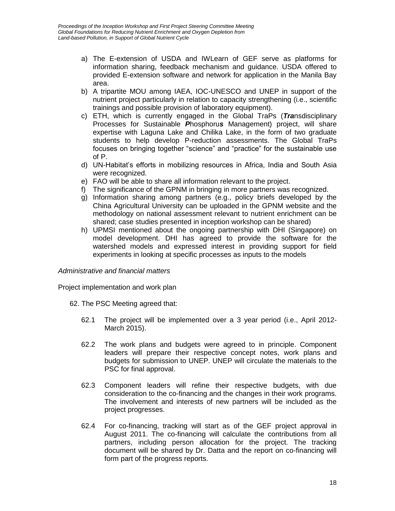- a) The E-extension of USDA and IWLearn of GEF serve as platforms for information sharing, feedback mechanism and guidance. USDA offered to provided E-extension software and network for application in the Manila Bay area.
- b) A tripartite MOU among IAEA, IOC-UNESCO and UNEP in support of the nutrient project particularly in relation to capacity strengthening (i.e., scientific trainings and possible provision of laboratory equipment).
- c) ETH, which is currently engaged in the Global TraPs (*Tra*nsdisciplinary Processes for Sustainable *P*hosphoru*s* Management) project, will share expertise with Laguna Lake and Chilika Lake, in the form of two graduate students to help develop P-reduction assessments. The Global TraPs focuses on bringing together "science" and "practice" for the sustainable use of P.
- d) UN-Habitat's efforts in mobilizing resources in Africa, India and South Asia were recognized.
- e) FAO will be able to share all information relevant to the project.
- f) The significance of the GPNM in bringing in more partners was recognized.
- g) Information sharing among partners (e.g., policy briefs developed by the China Agricultural University can be uploaded in the GPNM website and the methodology on national assessment relevant to nutrient enrichment can be shared; case studies presented in inception workshop can be shared)
- h) UPMSI mentioned about the ongoing partnership with DHI (Singapore) on model development. DHI has agreed to provide the software for the watershed models and expressed interest in providing support for field experiments in looking at specific processes as inputs to the models

#### *Administrative and financial matters*

Project implementation and work plan

- 62. The PSC Meeting agreed that:
	- 62.1 The project will be implemented over a 3 year period (i.e., April 2012- March 2015).
	- 62.2 The work plans and budgets were agreed to in principle. Component leaders will prepare their respective concept notes, work plans and budgets for submission to UNEP. UNEP will circulate the materials to the PSC for final approval.
	- 62.3 Component leaders will refine their respective budgets, with due consideration to the co-financing and the changes in their work programs. The involvement and interests of new partners will be included as the project progresses.
	- 62.4 For co-financing, tracking will start as of the GEF project approval in August 2011. The co-financing will calculate the contributions from all partners, including person allocation for the project. The tracking document will be shared by Dr. Datta and the report on co-financing will form part of the progress reports.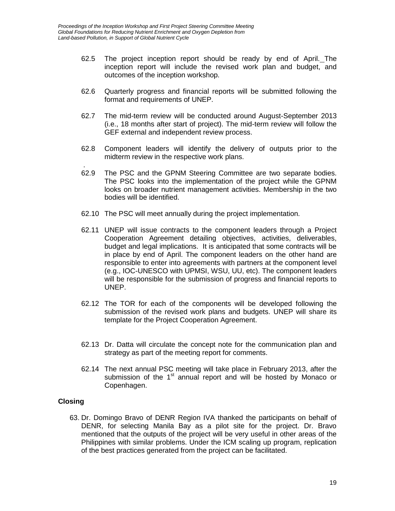- 62.5 The project inception report should be ready by end of April. The inception report will include the revised work plan and budget, and outcomes of the inception workshop.
- 62.6 Quarterly progress and financial reports will be submitted following the format and requirements of UNEP.
- 62.7 The mid-term review will be conducted around August-September 2013 (i.e., 18 months after start of project). The mid-term review will follow the GEF external and independent review process.
- 62.8 Component leaders will identify the delivery of outputs prior to the midterm review in the respective work plans.
- 62.9 The PSC and the GPNM Steering Committee are two separate bodies. The PSC looks into the implementation of the project while the GPNM looks on broader nutrient management activities. Membership in the two bodies will be identified.
- 62.10 The PSC will meet annually during the project implementation.
- 62.11 UNEP will issue contracts to the component leaders through a Project Cooperation Agreement detailing objectives, activities, deliverables, budget and legal implications. It is anticipated that some contracts will be in place by end of April. The component leaders on the other hand are responsible to enter into agreements with partners at the component level (e.g., IOC-UNESCO with UPMSI, WSU, UU, etc). The component leaders will be responsible for the submission of progress and financial reports to UNEP.
- 62.12 The TOR for each of the components will be developed following the submission of the revised work plans and budgets. UNEP will share its template for the Project Cooperation Agreement.
- 62.13 Dr. Datta will circulate the concept note for the communication plan and strategy as part of the meeting report for comments.
- 62.14 The next annual PSC meeting will take place in February 2013, after the submission of the  $1<sup>st</sup>$  annual report and will be hosted by Monaco or Copenhagen.

### **Closing**

.

63. Dr. Domingo Bravo of DENR Region IVA thanked the participants on behalf of DENR, for selecting Manila Bay as a pilot site for the project. Dr. Bravo mentioned that the outputs of the project will be very useful in other areas of the Philippines with similar problems. Under the ICM scaling up program, replication of the best practices generated from the project can be facilitated.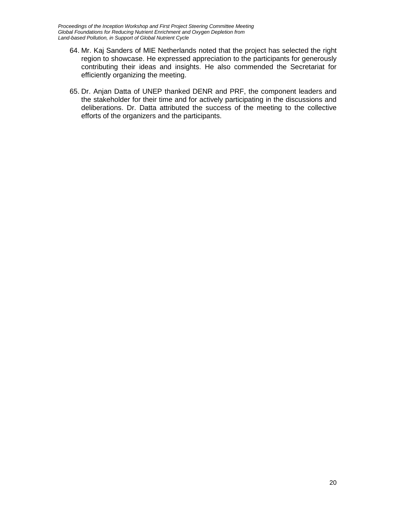- 64. Mr. Kaj Sanders of MIE Netherlands noted that the project has selected the right region to showcase. He expressed appreciation to the participants for generously contributing their ideas and insights. He also commended the Secretariat for efficiently organizing the meeting.
- 65. Dr. Anjan Datta of UNEP thanked DENR and PRF, the component leaders and the stakeholder for their time and for actively participating in the discussions and deliberations. Dr. Datta attributed the success of the meeting to the collective efforts of the organizers and the participants.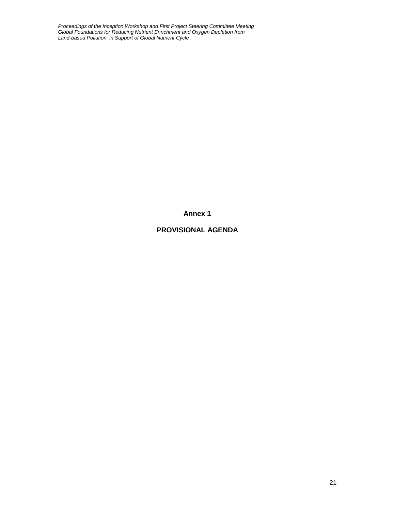**Annex 1**

## **PROVISIONAL AGENDA**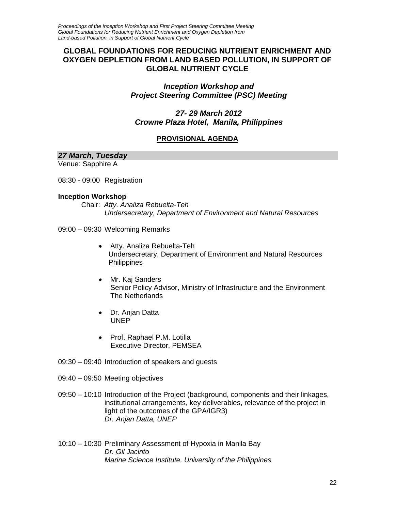## **GLOBAL FOUNDATIONS FOR REDUCING NUTRIENT ENRICHMENT AND OXYGEN DEPLETION FROM LAND BASED POLLUTION, IN SUPPORT OF GLOBAL NUTRIENT CYCLE**

*Inception Workshop and Project Steering Committee (PSC) Meeting*

*27- 29 March 2012 Crowne Plaza Hotel, Manila, Philippines*

### **PROVISIONAL AGENDA**

*27 March, Tuesday* Venue: Sapphire A

08:30 - 09:00 Registration

#### **Inception Workshop**

Chair: *Atty. Analiza Rebuelta-Teh Undersecretary, Department of Environment and Natural Resources*

- 09:00 09:30 Welcoming Remarks
	- Atty. Analiza Rebuelta-Teh Undersecretary, Department of Environment and Natural Resources **Philippines**
	- Mr. Kaj Sanders Senior Policy Advisor, Ministry of Infrastructure and the Environment The Netherlands
	- Dr. Anjan Datta UNEP
	- Prof. Raphael P.M. Lotilla Executive Director, PEMSEA
- 09:30 09:40 Introduction of speakers and guests
- 09:40 09:50 Meeting objectives
- 09:50 10:10 Introduction of the Project (background, components and their linkages, institutional arrangements, key deliverables, relevance of the project in light of the outcomes of the GPA/IGR3) *Dr. Anjan Datta, UNEP*
- 10:10 10:30 Preliminary Assessment of Hypoxia in Manila Bay *Dr. Gil Jacinto Marine Science Institute, University of the Philippines*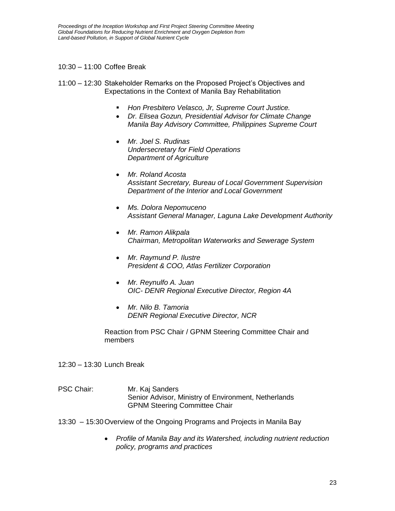#### 10:30 – 11:00 Coffee Break

- 11:00 12:30 Stakeholder Remarks on the Proposed Project's Objectives and Expectations in the Context of Manila Bay Rehabilitation
	- *Hon Presbitero Velasco, Jr, Supreme Court Justice.*
	- *Dr. Elisea Gozun, Presidential Advisor for Climate Change Manila Bay Advisory Committee, Philippines Supreme Court*
	- *Mr. Joel S. Rudinas Undersecretary for Field Operations Department of Agriculture*
	- *Mr. Roland Acosta Assistant Secretary, Bureau of Local Government Supervision Department of the Interior and Local Government*
	- *Ms. Dolora Nepomuceno Assistant General Manager, Laguna Lake Development Authority*
	- *Mr. Ramon Alikpala Chairman, Metropolitan Waterworks and Sewerage System*
	- *Mr. Raymund P. Ilustre President & COO, Atlas Fertilizer Corporation*
	- *Mr. Reynulfo A. Juan OIC- DENR Regional Executive Director, Region 4A*
	- *Mr. Nilo B. Tamoria DENR Regional Executive Director, NCR*

Reaction from PSC Chair / GPNM Steering Committee Chair and members

12:30 – 13:30 Lunch Break

- PSC Chair: Mr. Kaj Sanders Senior Advisor, Ministry of Environment, Netherlands GPNM Steering Committee Chair
- 13:30 15:30Overview of the Ongoing Programs and Projects in Manila Bay
	- *Profile of Manila Bay and its Watershed, including nutrient reduction policy, programs and practices*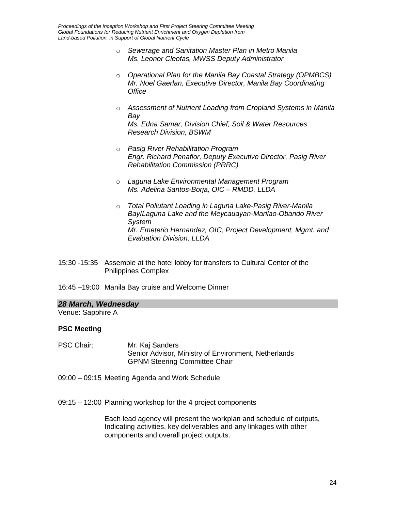- o *Sewerage and Sanitation Master Plan in Metro Manila Ms. Leonor Cleofas, MWSS Deputy Administrator*
- o *Operational Plan for the Manila Bay Coastal Strategy (OPMBCS) Mr. Noel Gaerlan, Executive Director, Manila Bay Coordinating Office*
- o *Assessment of Nutrient Loading from Cropland Systems in Manila Bay Ms. Edna Samar, Division Chief, Soil & Water Resources Research Division, BSWM*
- o *Pasig River Rehabilitation Program Engr. Richard Penaflor, Deputy Executive Director, Pasig River Rehabilitation Commission (PRRC)*
- o *Laguna Lake Environmental Management Program Ms. Adelina Santos-Borja, OIC – RMDD, LLDA*
- o *Total Pollutant Loading in Laguna Lake-Pasig River-Manila BayILaguna Lake and the Meycauayan-Marilao-Obando River System Mr. Emeterio Hernandez, OIC, Project Development, Mgmt. and Evaluation Division, LLDA*
- 15:30 -15:35 Assemble at the hotel lobby for transfers to Cultural Center of the Philippines Complex
- 16:45 –19:00 Manila Bay cruise and Welcome Dinner

### *28 March, Wednesday*

Venue: Sapphire A

### **PSC Meeting**

- PSC Chair: Mr. Kaj Sanders Senior Advisor, Ministry of Environment, Netherlands GPNM Steering Committee Chair
- 09:00 09:15 Meeting Agenda and Work Schedule
- 09:15 12:00 Planning workshop for the 4 project components

Each lead agency will present the workplan and schedule of outputs, Indicating activities, key deliverables and any linkages with other components and overall project outputs.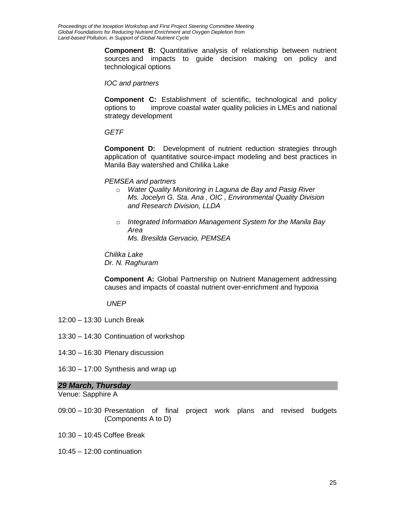**Component B:** Quantitative analysis of relationship between nutrient sources and impacts to guide decision making on policy and technological options

*IOC and partners*

**Component C:** Establishment of scientific, technological and policy options to improve coastal water quality policies in LMEs and national strategy development

*GETF*

**Component D:** Development of nutrient reduction strategies through application of quantitative source-impact modeling and best practices in Manila Bay watershed and Chilika Lake

#### *PEMSEA and partners*

- o *Water Quality Monitoring in Laguna de Bay and Pasig River Ms. Jocelyn G. Sta. Ana , OIC , Environmental Quality Division and Research Division, LLDA*
- o *Integrated Information Management System for the Manila Bay Area Ms. Bresilda Gervacio, PEMSEA*

*Chilika Lake Dr. N. Raghuram*

**Component A:** Global Partnership on Nutrient Management addressing causes and impacts of coastal nutrient over-enrichment and hypoxia

*UNEP* 

- 12:00 13:30 Lunch Break
- 13:30 14:30 Continuation of workshop
- 14:30 16:30 Plenary discussion
- 16:30 17:00 Synthesis and wrap up

#### *29 March, Thursday*

Venue: Sapphire A

- 09:00 10:30 Presentation of final project work plans and revised budgets (Components A to D)
- 10:30 10:45 Coffee Break
- 10:45 12:00 continuation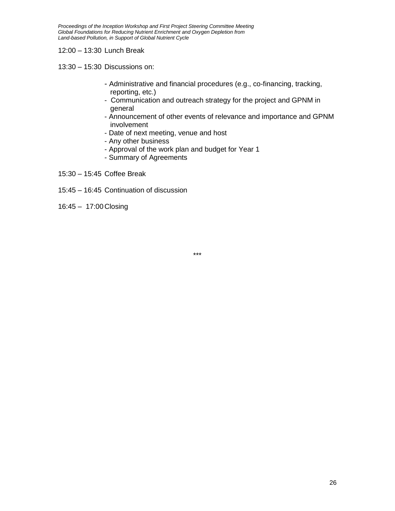12:00 – 13:30 Lunch Break

13:30 – 15:30 Discussions on:

- Administrative and financial procedures (e.g., co-financing, tracking, reporting, etc.)
- Communication and outreach strategy for the project and GPNM in general
- Announcement of other events of relevance and importance and GPNM involvement
- Date of next meeting, venue and host
- Any other business
- Approval of the work plan and budget for Year 1
- Summary of Agreements
- 15:30 15:45 Coffee Break
- 15:45 16:45 Continuation of discussion
- 16:45 17:00Closing

\*\*\*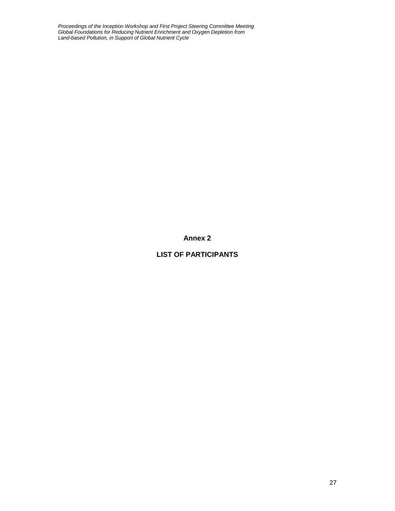**Annex 2**

# **LIST OF PARTICIPANTS**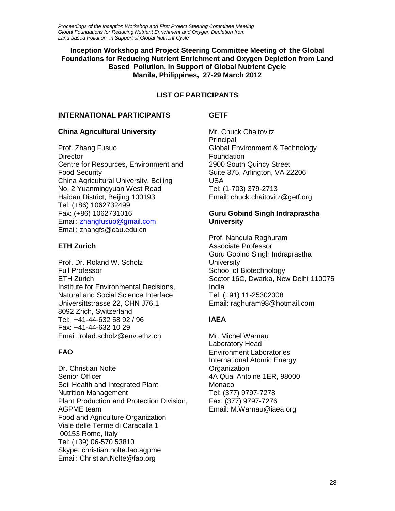**Inception Workshop and Project Steering Committee Meeting of the Global Foundations for Reducing Nutrient Enrichment and Oxygen Depletion from Land Based Pollution, in Support of Global Nutrient Cycle Manila, Philippines, 27-29 March 2012**

## **LIST OF PARTICIPANTS**

#### **INTERNATIONAL PARTICIPANTS**

#### **GETF**

## **China Agricultural University**

Prof. Zhang Fusuo **Director** Centre for Resources, Environment and Food Security China Agricultural University, Beijing No. 2 Yuanmingyuan West Road Haidan District, Beijing 100193 Tel: (+86) 1062732499 Fax: (+86) 1062731016 Email: [zhangfusuo@gmail.com](mailto:zhangfusuo@gmail.com) Email: zhangfs@cau.edu.cn

## **ETH Zurich**

Prof. Dr. Roland W. Scholz Full Professor ETH Zurich Institute for Environmental Decisions, Natural and Social Science Interface Universittstrasse 22, CHN J76.1 8092 Zrich, Switzerland Tel: +41-44-632 58 92 / 96 Fax: +41-44-632 10 29 Email: rolad.scholz@env.ethz.ch

## **FAO**

Dr. Christian Nolte Senior Officer Soil Health and Integrated Plant Nutrition Management Plant Production and Protection Division, AGPME team Food and Agriculture Organization Viale delle Terme di Caracalla 1 00153 Rome, Italy Tel: (+39) 06-570 53810 Skype: christian.nolte.fao.agpme Email: Christian.Nolte@fao.org

Mr. Chuck Chaitovitz **Principal** Global Environment & Technology Foundation 2900 South Quincy Street Suite 375, Arlington, VA 22206 USA Tel: (1-703) 379-2713 Email: chuck.chaitovitz@getf.org

### **Guru Gobind Singh Indraprastha University**

Prof. Nandula Raghuram Associate Professor Guru Gobind Singh Indraprastha **University** School of Biotechnology Sector 16C, Dwarka, New Delhi 110075 India Tel: (+91) 11-25302308 Email: raghuram98@hotmail.com

## **IAEA**

Mr. Michel Warnau Laboratory Head Environment Laboratories International Atomic Energy **Organization** 4A Quai Antoine 1ER, 98000 **Monaco** Tel: (377) 9797-7278 Fax: (377) 9797-7276 Email: M.Warnau@iaea.org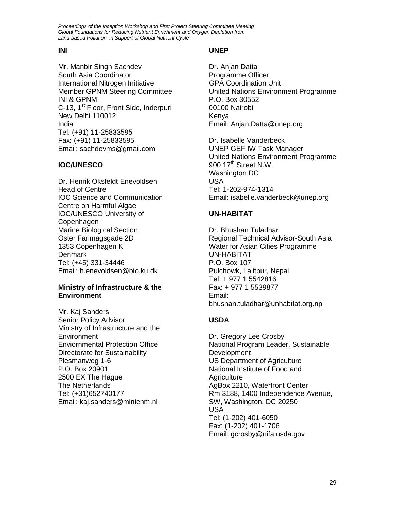#### **INI**

Mr. Manbir Singh Sachdev South Asia Coordinator International Nitrogen Initiative Member GPNM Steering Committee INI & GPNM C-13, 1<sup>st</sup> Floor, Front Side, Inderpuri New Delhi 110012 India Tel: (+91) 11-25833595 Fax: (+91) 11-25833595 Email: sachdevms@gmail.com

## **IOC/UNESCO**

Dr. Henrik Oksfeldt Enevoldsen Head of Centre IOC Science and Communication Centre on Harmful Algae IOC/UNESCO University of Copenhagen Marine Biological Section Oster Farimagsgade 2D 1353 Copenhagen K **Denmark** Tel: (+45) 331-34446 Email: h.enevoldsen@bio.ku.dk

#### **Ministry of Infrastructure & the Environment**

Mr. Kaj Sanders Senior Policy Advisor Ministry of Infrastructure and the **Environment** Enviornmental Protection Office Directorate for Sustainability Plesmanweg 1-6 P.O. Box 20901 2500 EX The Hague The Netherlands Tel: (+31)652740177 Email: kaj.sanders@minienm.nl

### **UNEP**

Dr. Anjan Datta Programme Officer GPA Coordination Unit United Nations Environment Programme P.O. Box 30552 00100 Nairobi Kenya Email: Anjan.Datta@unep.org

Dr. Isabelle Vanderbeck UNEP GEF IW Task Manager United Nations Environment Programme 900  $17<sup>th</sup>$  Street N.W. Washington DC USA Tel: 1-202-974-1314 Email: isabelle.vanderbeck@unep.org

## **UN-HABITAT**

Dr. Bhushan Tuladhar Regional Technical Advisor-South Asia Water for Asian Cities Programme UN-HABITAT P.O. Box 107 Pulchowk, Lalitpur, Nepal Tel: + 977 1 5542816 Fax: + 977 1 5539877 Email: bhushan.tuladhar@unhabitat.org.np

## **USDA**

Dr. Gregory Lee Crosby National Program Leader, Sustainable Development US Department of Agriculture National Institute of Food and **Agriculture** AgBox 2210, Waterfront Center Rm 3188, 1400 Independence Avenue, SW, Washington, DC 20250 USA Tel: (1-202) 401-6050 Fax: (1-202) 401-1706 Email: gcrosby@nifa.usda.gov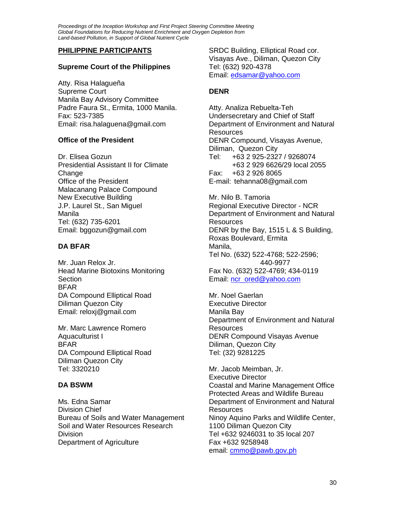### **PHILIPPINE PARTICIPANTS**

## **Supreme Court of the Philippines**

Atty. Risa Halagueña Supreme Court Manila Bay Advisory Committee Padre Faura St., Ermita, 1000 Manila. Fax: 523-7385 Email: risa.halaguena@gmail.com

## **Office of the President**

Dr. Elisea Gozun Presidential Assistant II for Climate **Change** Office of the President Malacanang Palace Compound New Executive Building J.P. Laurel St., San Miguel Manila Tel: (632) 735-6201 Email: bggozun@gmail.com

## **DA BFAR**

Mr. Juan Relox Jr. Head Marine Biotoxins Monitoring **Section** BFAR DA Compound Elliptical Road Diliman Quezon City Email: reloxj@gmail.com

Mr. Marc Lawrence Romero Aquaculturist I BFAR DA Compound Elliptical Road Diliman Quezon City Tel: 3320210

## **DA BSWM**

Ms. Edna Samar Division Chief Bureau of Soils and Water Management Soil and Water Resources Research **Division** Department of Agriculture

SRDC Building, Elliptical Road cor. Visayas Ave., Diliman, Quezon City Tel: (632) 920-4378 Email: [edsamar@yahoo.com](mailto:edsamar@yahoo.com)

## **DENR**

Atty. Analiza Rebuelta-Teh Undersecretary and Chief of Staff Department of Environment and Natural Resources DENR Compound, Visayas Avenue, Diliman, Quezon City Tel: +63 2 925-2327 / 9268074 +63 2 929 6626/29 local 2055 Fax: +63 2 926 8065 E-mail: tehanna08@gmail.com

Mr. Nilo B. Tamoria Regional Executive Director - NCR Department of Environment and Natural Resources DENR by the Bay, 1515 L & S Building, Roxas Boulevard, Ermita Manila, Tel No. (632) 522-4768; 522-2596; 440-9977 Fax No. (632) 522-4769; 434-0119 Email: [ncr\\_ored@yahoo.com](mailto:ncr_ored@yahoo.com)

Mr. Noel Gaerlan Executive Director Manila Bay Department of Environment and Natural Resources DENR Compound Visayas Avenue Diliman, Quezon City Tel: (32) 9281225

Mr. Jacob Meimban, Jr. Executive Director Coastal and Marine Management Office Protected Areas and Wildlife Bureau Department of Environment and Natural Resources Ninoy Aquino Parks and Wildlife Center, 1100 Diliman Quezon City Tel +632 9246031 to 35 local 207 Fax +632 9258948 email: [cmmo@pawb.gov.ph](mailto:cmmo@pawb.gov.ph)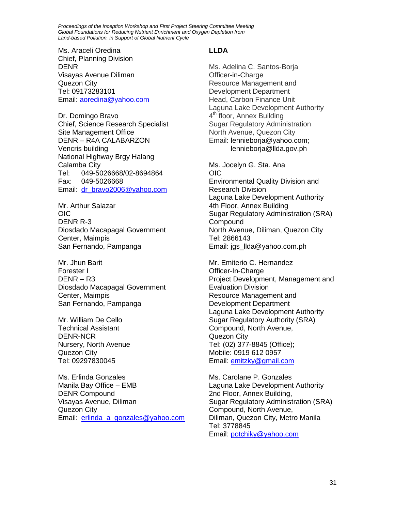Ms. Araceli Oredina Chief, Planning Division DENR Visayas Avenue Diliman Quezon City Tel: 09173283101 Email: [aoredina@yahoo.com](mailto:aoredina@yahoo.com)

Dr. Domingo Bravo Chief, Science Research Specialist Site Management Office DENR – R4A CALABARZON Vencris building National Highway Brgy Halang Calamba City Tel: 049-5026668/02-8694864 Fax: 049-5026668 Email: [dr\\_bravo2006@yahoo.com](mailto:dr_bravo2006@yahoo.com)

Mr. Arthur Salazar OIC DENR R-3 Diosdado Macapagal Government Center, Maimpis San Fernando, Pampanga

Mr. Jhun Barit Forester I DENR – R3 Diosdado Macapagal Government Center, Maimpis San Fernando, Pampanga

Mr. William De Cello Technical Assistant DENR-NCR Nursery, North Avenue Quezon City Tel: 09297830045

Ms. Erlinda Gonzales Manila Bay Office – EMB DENR Compound Visayas Avenue, Diliman Quezon City Email: [erlinda\\_a\\_gonzales@yahoo.com](mailto:erlinda_a_gonzales@yahoo.com)

## **LLDA**

Ms. Adelina C. Santos-Borja Officer-in-Charge Resource Management and Development Department Head, Carbon Finance Unit Laguna Lake Development Authority 4<sup>th</sup> floor, Annex Building Sugar Regulatory Administration North Avenue, Quezon City Email: lennieborja@yahoo.com; lennieborja@llda.gov.ph

Ms. Jocelyn G. Sta. Ana OIC Environmental Quality Division and Research Division Laguna Lake Development Authority 4th Floor, Annex Building Sugar Regulatory Administration (SRA) **Compound** North Avenue, Diliman, Quezon City Tel: 2866143 Email: jgs\_llda@yahoo.com.ph

Mr. Emiterio C. Hernandez Officer-In-Charge Project Development, Management and Evaluation Division Resource Management and Development Department Laguna Lake Development Authority Sugar Regulatory Authority (SRA) Compound, North Avenue, Quezon City Tel: (02) 377-8845 (Office); Mobile: 0919 612 0957 Email: [emitzky@gmail.com](mailto:emitzky@gmail.com/)

Ms. Carolane P. Gonzales Laguna Lake Development Authority 2nd Floor, Annex Building, Sugar Regulatory Administration (SRA) Compound, North Avenue, Diliman, Quezon City, Metro Manila Tel: 3778845 Email: [potchiky@yahoo.com](mailto:potchiky@yahoo.com)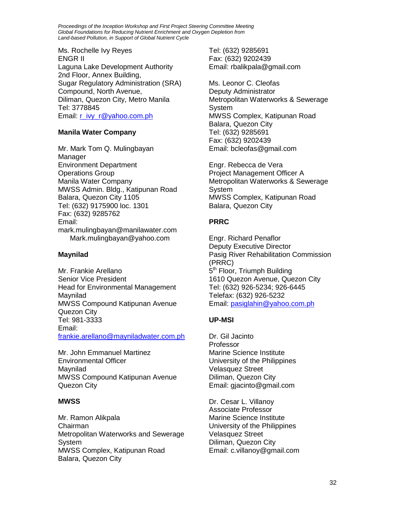Ms. Rochelle Ivy Reyes ENGR II Laguna Lake Development Authority 2nd Floor, Annex Building, Sugar Regulatory Administration (SRA) Compound, North Avenue, Diliman, Quezon City, Metro Manila Tel: 3778845 Email: [r\\_ivy\\_r@yahoo.com.ph](mailto:r_ivy_r@yahoo.com.ph)

## **Manila Water Company**

Mr. Mark Tom Q. Mulingbayan Manager Environment Department Operations Group Manila Water Company MWSS Admin. Bldg., Katipunan Road Balara, Quezon City 1105 Tel: (632) 9175900 loc. 1301 Fax: (632) 9285762 Email: mark.mulingbayan@manilawater.com Mark.mulingbayan@yahoo.com

### **Maynilad**

Mr. Frankie Arellano Senior Vice President Head for Environmental Management Maynilad MWSS Compound Katipunan Avenue Quezon City Tel: 981-3333 Email: [frankie.arellano@mayniladwater.com.ph](mailto:frankie.arellano@mayniladwater.com.ph)

Mr. John Emmanuel Martinez Environmental Officer Maynilad MWSS Compound Katipunan Avenue Quezon City

## **MWSS**

Mr. Ramon Alikpala Chairman Metropolitan Waterworks and Sewerage **System** MWSS Complex, Katipunan Road Balara, Quezon City

Tel: (632) 9285691 Fax: (632) 9202439 Email: rbalikpala@gmail.com

Ms. Leonor C. Cleofas Deputy Administrator Metropolitan Waterworks & Sewerage System MWSS Complex, Katipunan Road Balara, Quezon City Tel: (632) 9285691 Fax: (632) 9202439 Email: bcleofas@gmail.com

Engr. Rebecca de Vera Project Management Officer A Metropolitan Waterworks & Sewerage **System** MWSS Complex, Katipunan Road Balara, Quezon City

## **PRRC**

Engr. Richard Penaflor Deputy Executive Director Pasig River Rehabilitation Commission (PRRC) 5<sup>th</sup> Floor, Triumph Building 1610 Quezon Avenue, Quezon City Tel: (632) 926-5234; 926-6445 Telefax: (632) 926-5232 Email: [pasiglahin@yahoo.com.ph](mailto:pasiglahin@yahoo.com.ph)

## **UP-MSI**

Dr. Gil Jacinto Professor Marine Science Institute University of the Philippines Velasquez Street Diliman, Quezon City Email: gjacinto@gmail.com

Dr. Cesar L. Villanoy Associate Professor Marine Science Institute University of the Philippines Velasquez Street Diliman, Quezon City Email: c.villanoy@gmail.com